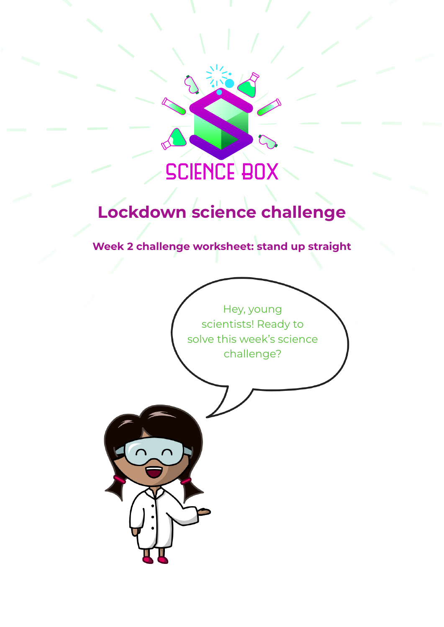

# **Lockdown science challenge**

**Week 2 challenge worksheet: stand up straight**

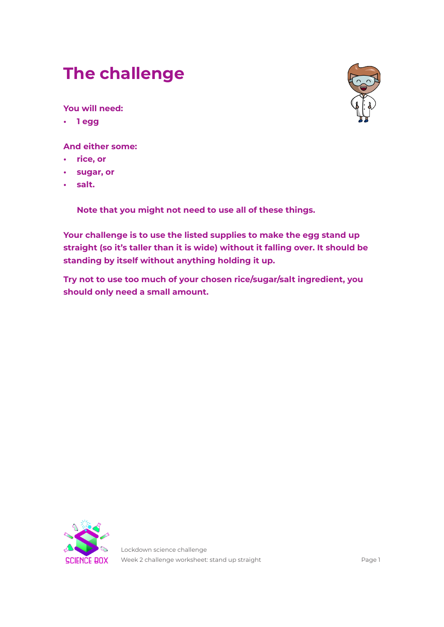# **The challenge**

**You will need:**

**• 1 egg**

**And either some:**

- **• rice, or**
- **• sugar, or**
- **• salt.**

**Note that you might not need to use all of these things.**

**Your challenge is to use the listed supplies to make the egg stand up straight (so it's taller than it is wide) without it falling over. It should be standing by itself without anything holding it up.**

**Try not to use too much of your chosen rice/sugar/salt ingredient, you should only need a small amount.**



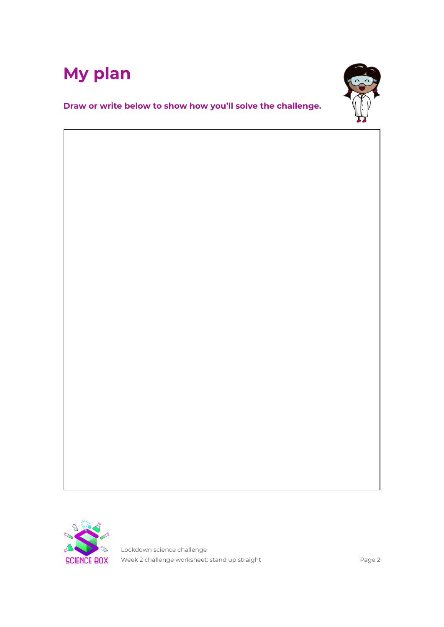



**Draw or write below to show how you'll solve the challenge.**



Lockdown science challenge Week 2 challenge worksheet: stand up straight example 2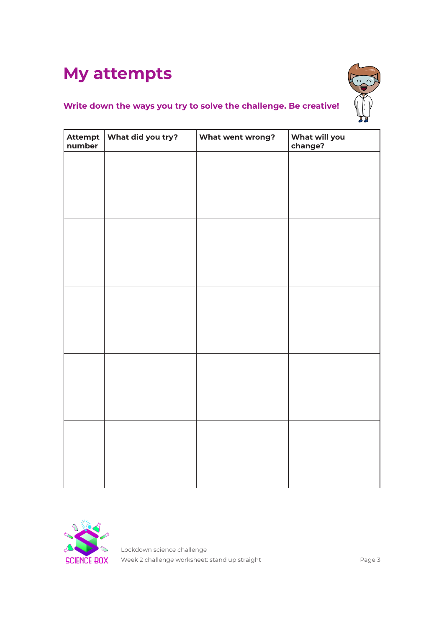## **My attempts**



### **Write down the ways you try to solve the challenge. Be creative!**

| Attempt   What did you try?<br>number | What went wrong? | What will you<br>change? |
|---------------------------------------|------------------|--------------------------|
|                                       |                  |                          |
|                                       |                  |                          |
|                                       |                  |                          |
|                                       |                  |                          |
|                                       |                  |                          |
|                                       |                  |                          |
|                                       |                  |                          |
|                                       |                  |                          |
|                                       |                  |                          |
|                                       |                  |                          |
|                                       |                  |                          |
|                                       |                  |                          |
|                                       |                  |                          |
|                                       |                  |                          |
|                                       |                  |                          |



Lockdown science challenge Week 2 challenge worksheet: stand up straight Veek 2 challenge worksheet: stand up straight